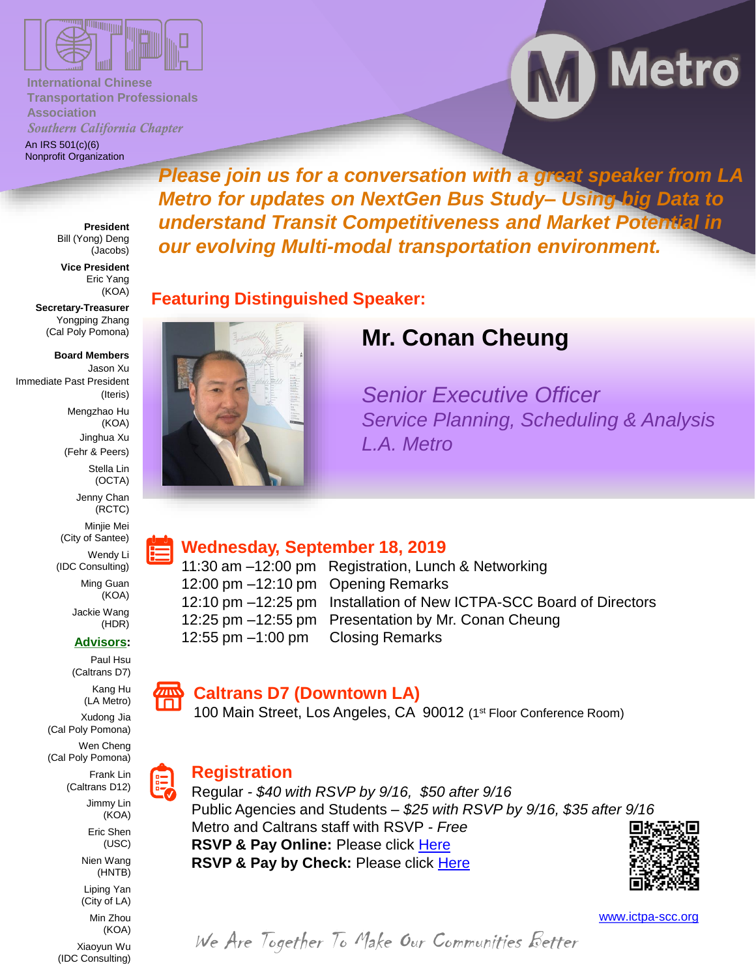

**International Chinese Transportation Professionals Association** *Southern California Chapter*

An IRS 501(c)(6) Nonprofit Organization M Metro

**President** Bill (Yong) Deng (Jacobs)

**Vice President** Eric Yang (KOA)

**Secretary-Treasurer** Yongping Zhang (Cal Poly Pomona)

**Board Members** Jason Xu Immediate Past President (Iteris) Mengzhao Hu (KOA) Jinghua Xu (Fehr & Peers) Stella Lin (OCTA) Jenny Chan (RCTC)

> Minjie Mei (City of Santee) Wendy Li (IDC Consulting)

> > Ming Guan (KOA)

> > > Jackie Wang (HDR)

**Advisors:**

Paul Hsu (Caltrans D7)

> Kang Hu (LA Metro) Xudong Jia

Frank Lin (Caltrans D12) Jimmy Lin (KOA) Eric Shen (USC) Nien Wang (HNTB) Liping Yan (City of LA) Min Zhou (KOA) Xiaoyun Wu (IDC Consulting)

(Cal Poly Pomona) Wen Cheng (Cal Poly Pomona)



#### **Caltrans D7 (Downtown LA)**

100 Main Street, Los Angeles, CA 90012 (1st Floor Conference Room)

## **Registration**

Regular *- \$40 with RSVP by 9/16, \$50 after 9/16*  Public Agencies and Students *– \$25 with RSVP by 9/16, \$35 after 9/16* Metro and Caltrans staff with RSVP *- Free* **RSVP & Pay Online:** Please click [Here](https://ictpa-scc-september2019.eventbrite.com/) **RSVP & Pay by Check:** Please click [Here](https://forms.gle/hg3cG1mpKL3LHTtKA)



[www.ictpa-scc.org](http://www.ictpa-scc.org/)

# **Mr. Conan Cheung**

*Please join us for a conversation with a great speaker from LA* 

*Metro for updates on NextGen Bus Study– Using big Data to understand Transit Competitiveness and Market Potential in* 

*our evolving Multi-modal transportation environment.*

*Senior Executive Officer Service Planning, Scheduling & Analysis L.A. Metro*

## **Wednesday, September 18, 2019**

**Featuring Distinguished Speaker:** 

11:30 am –12:00 pm Registration, Lunch & Networking 12:00 pm –12:10 pm Opening Remarks 12:10 pm –12:25 pm Installation of New ICTPA-SCC Board of Directors 12:25 pm –12:55 pm Presentation by Mr. Conan Cheung 12:55 pm –1:00 pm Closing Remarks

We Are Together To Make Our Communities Better